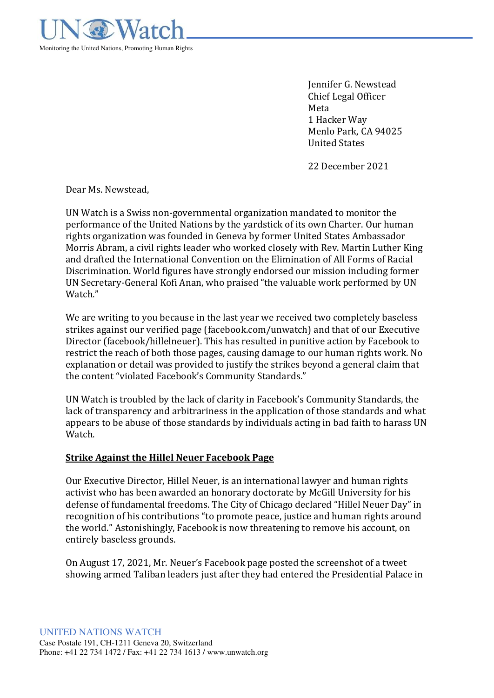

Jennifer G. Newstead Chief Legal Officer Meta 1 Hacker Way Menlo Park, CA 94025 United States

22 December 2021

Dear Ms. Newstead,

UN Watch is a Swiss non-governmental organization mandated to monitor the performance of the United Nations by the yardstick of its own Charter. Our human rights organization was founded in Geneva by former United States Ambassador Morris Abram, a civil rights leader who worked closely with Rev. Martin Luther King and drafted the International Convention on the Elimination of All Forms of Racial Discrimination. World figures have strongly endorsed our mission including former UN Secretary-General Kofi Anan, who praised "the valuable work performed by UN Watch."

We are writing to you because in the last year we received two completely baseless strikes against our verified page (facebook.com/unwatch) and that of our Executive Director (facebook/hillelneuer). This has resulted in punitive action by Facebook to restrict the reach of both those pages, causing damage to our human rights work. No explanation or detail was provided to justify the strikes beyond a general claim that the content "violated Facebook's Community Standards."

UN Watch is troubled by the lack of clarity in Facebook's Community Standards, the lack of transparency and arbitrariness in the application of those standards and what appears to be abuse of those standards by individuals acting in bad faith to harass UN Watch.

## **Strike Against the Hillel Neuer Facebook Page**

Our Executive Director, Hillel Neuer, is an international lawyer and human rights activist who has been awarded an honorary doctorate by McGill University for his defense of fundamental freedoms. The City of Chicago declared "Hillel Neuer Day" in recognition of his contributions "to promote peace, justice and human rights around the world." Astonishingly, Facebook is now threatening to remove his account, on entirely baseless grounds.

On August 17, 2021, Mr. Neuer's Facebook page posted the screenshot of a tweet showing armed Taliban leaders just after they had entered the Presidential Palace in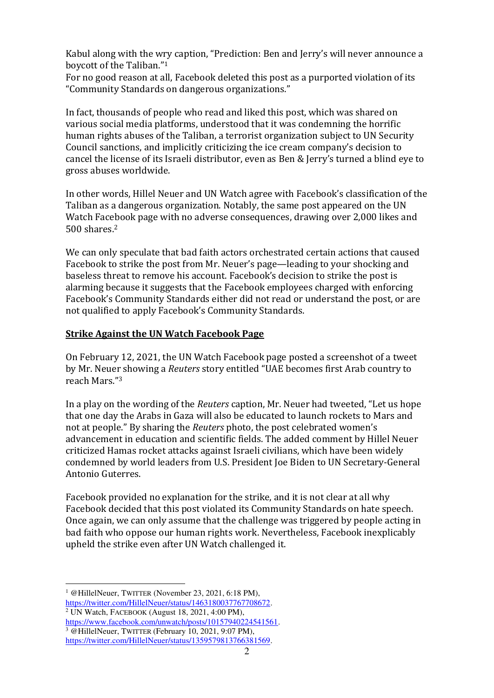Kabul along with the wry caption, "Prediction: Ben and Jerry's will never announce a boycott of the Taliban."<sup>1</sup>

For no good reason at all, Facebook deleted this post as a purported violation of its "Community Standards on dangerous organizations."

In fact, thousands of people who read and liked this post, which was shared on various social media platforms, understood that it was condemning the horrific human rights abuses of the Taliban, a terrorist organization subject to UN Security Council sanctions, and implicitly criticizing the ice cream company's decision to cancel the license of its Israeli distributor, even as Ben & Jerry's turned a blind eye to gross abuses worldwide.

In other words, Hillel Neuer and UN Watch agree with Facebook's classification of the Taliban as a dangerous organization. Notably, the same post appeared on the UN Watch Facebook page with no adverse consequences, drawing over 2,000 likes and 500 shares.<sup>2</sup>

We can only speculate that bad faith actors orchestrated certain actions that caused Facebook to strike the post from Mr. Neuer's page—leading to your shocking and baseless threat to remove his account. Facebook's decision to strike the post is alarming because it suggests that the Facebook employees charged with enforcing Facebook's Community Standards either did not read or understand the post, or are not qualified to apply Facebook's Community Standards.

## **Strike Against the UN Watch Facebook Page**

On February 12, 2021, the UN Watch Facebook page posted a screenshot of a tweet by Mr. Neuer showing a *Reuters* story entitled "UAE becomes first Arab country to reach Mars."<sup>3</sup>

In a play on the wording of the *Reuters* caption, Mr. Neuer had tweeted, "Let us hope that one day the Arabs in Gaza will also be educated to launch rockets to Mars and not at people." By sharing the *Reuters* photo, the post celebrated women's advancement in education and scientific fields. The added comment by Hillel Neuer criticized Hamas rocket attacks against Israeli civilians, which have been widely condemned by world leaders from U.S. President Joe Biden to UN Secretary-General Antonio Guterres.

Facebook provided no explanation for the strike, and it is not clear at all why Facebook decided that this post violated its Community Standards on hate speech. Once again, we can only assume that the challenge was triggered by people acting in bad faith who oppose our human rights work. Nevertheless, Facebook inexplicably upheld the strike even after UN Watch challenged it.

<sup>&</sup>lt;sup>1</sup> @HillelNeuer, TWITTER (November 23, 2021, 6:18 PM), [https://twitter.com/HillelNeuer/status/1463180037767708672.](https://twitter.com/HillelNeuer/status/1463180037767708672) 2 UN Watch, FACEBOOK (August 18, 2021, 4:00 PM),

[https://www.facebook.com/unwatch/posts/10157940224541561.](https://www.facebook.com/unwatch/posts/10157940224541561)  3 @HillelNeuer, TWITTER (February 10, 2021, 9:07 PM), [https://twitter.com/HillelNeuer/status/1359579813766381569.](https://twitter.com/HillelNeuer/status/1359579813766381569)